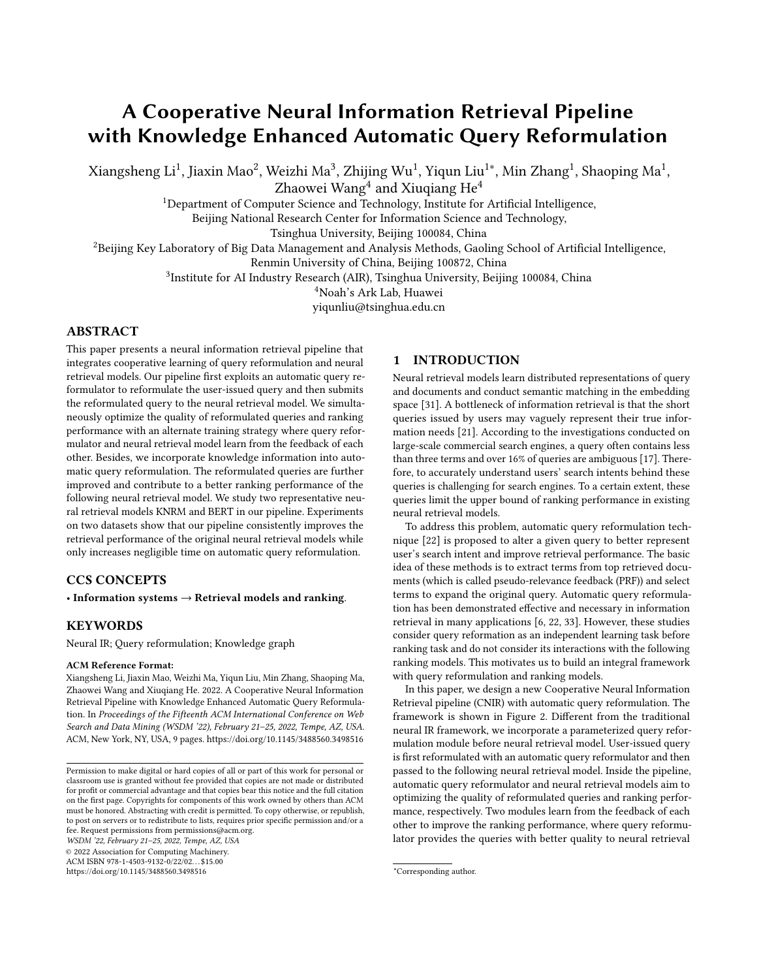# <span id="page-0-0"></span>A Cooperative Neural Information Retrieval Pipeline with Knowledge Enhanced Automatic Query Reformulation

Xiangsheng Li $^1$ , Jiaxin Mao $^2$ , Weizhi Ma $^3$ , Zhijing Wu $^1$ , Yiqun Liu $^{1*}$ , Min Zhang $^1$ , Shaoping Ma $^1$ ,

Zhaowei Wang $^4$  and Xiuqiang He $^4$ 

<sup>1</sup>Department of Computer Science and Technology, Institute for Artificial Intelligence,

Beijing National Research Center for Information Science and Technology,

Tsinghua University, Beijing 100084, China

<sup>2</sup>Beijing Key Laboratory of Big Data Management and Analysis Methods, Gaoling School of Artificial Intelligence,

Renmin University of China, Beijing 100872, China

 ${}^{3}$ Institute for AI Industry Research (AIR), Tsinghua University, Beijing 100084, China

<sup>4</sup>Noah's Ark Lab, Huawei

yiqunliu@tsinghua.edu.cn

# ABSTRACT

This paper presents a neural information retrieval pipeline that integrates cooperative learning of query reformulation and neural retrieval models. Our pipeline first exploits an automatic query reformulator to reformulate the user-issued query and then submits the reformulated query to the neural retrieval model. We simultaneously optimize the quality of reformulated queries and ranking performance with an alternate training strategy where query reformulator and neural retrieval model learn from the feedback of each other. Besides, we incorporate knowledge information into automatic query reformulation. The reformulated queries are further improved and contribute to a better ranking performance of the following neural retrieval model. We study two representative neural retrieval models KNRM and BERT in our pipeline. Experiments on two datasets show that our pipeline consistently improves the retrieval performance of the original neural retrieval models while only increases negligible time on automatic query reformulation.

# CCS CONCEPTS

• Information systems → Retrieval models and ranking.

# KEYWORDS

Neural IR; Query reformulation; Knowledge graph

#### ACM Reference Format:

Xiangsheng Li, Jiaxin Mao, Weizhi Ma, Yiqun Liu, Min Zhang, Shaoping Ma, Zhaowei Wang and Xiuqiang He. 2022. A Cooperative Neural Information Retrieval Pipeline with Knowledge Enhanced Automatic Query Reformulation. In Proceedings of the Fifteenth ACM International Conference on Web Search and Data Mining (WSDM '22), February 21–25, 2022, Tempe, AZ, USA. ACM, New York, NY, USA, [9](#page-0-0) pages.<https://doi.org/10.1145/3488560.3498516>

WSDM '22, February 21–25, 2022, Tempe, AZ, USA

© 2022 Association for Computing Machinery. ACM ISBN 978-1-4503-9132-0/22/02. . . \$15.00

<https://doi.org/10.1145/3488560.3498516>

# 1 INTRODUCTION

Neural retrieval models learn distributed representations of query and documents and conduct semantic matching in the embedding space [\[31\]](#page-8-0). A bottleneck of information retrieval is that the short queries issued by users may vaguely represent their true information needs [\[21\]](#page-8-1). According to the investigations conducted on large-scale commercial search engines, a query often contains less than three terms and over 16% of queries are ambiguous [\[17\]](#page-8-2). Therefore, to accurately understand users' search intents behind these queries is challenging for search engines. To a certain extent, these queries limit the upper bound of ranking performance in existing neural retrieval models.

To address this problem, automatic query reformulation technique [\[22\]](#page-8-3) is proposed to alter a given query to better represent user's search intent and improve retrieval performance. The basic idea of these methods is to extract terms from top retrieved documents (which is called pseudo-relevance feedback (PRF)) and select terms to expand the original query. Automatic query reformulation has been demonstrated effective and necessary in information retrieval in many applications [\[6,](#page-8-4) [22,](#page-8-3) [33\]](#page-8-5). However, these studies consider query reformation as an independent learning task before ranking task and do not consider its interactions with the following ranking models. This motivates us to build an integral framework with query reformulation and ranking models.

In this paper, we design a new Cooperative Neural Information Retrieval pipeline (CNIR) with automatic query reformulation. The framework is shown in Figure [2.](#page-2-0) Different from the traditional neural IR framework, we incorporate a parameterized query reformulation module before neural retrieval model. User-issued query is first reformulated with an automatic query reformulator and then passed to the following neural retrieval model. Inside the pipeline, automatic query reformulator and neural retrieval models aim to optimizing the quality of reformulated queries and ranking performance, respectively. Two modules learn from the feedback of each other to improve the ranking performance, where query reformulator provides the queries with better quality to neural retrieval

Permission to make digital or hard copies of all or part of this work for personal or classroom use is granted without fee provided that copies are not made or distributed for profit or commercial advantage and that copies bear this notice and the full citation on the first page. Copyrights for components of this work owned by others than ACM must be honored. Abstracting with credit is permitted. To copy otherwise, or republish, to post on servers or to redistribute to lists, requires prior specific permission and/or a fee. Request permissions from permissions@acm.org.

<sup>\*</sup>Corresponding author.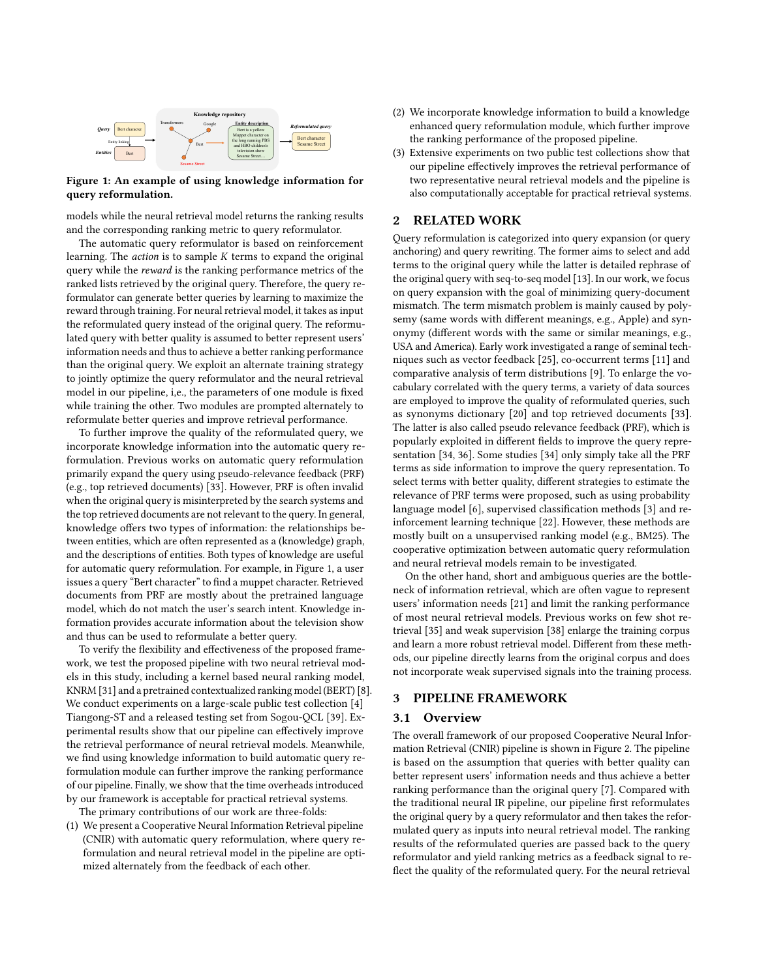<span id="page-1-0"></span>

Figure 1: An example of using knowledge information for query reformulation.

models while the neural retrieval model returns the ranking results and the corresponding ranking metric to query reformulator.

The automatic query reformulator is based on reinforcement learning. The  $action$  is to sample  $K$  terms to expand the original query while the reward is the ranking performance metrics of the ranked lists retrieved by the original query. Therefore, the query reformulator can generate better queries by learning to maximize the reward through training. For neural retrieval model, it takes as input the reformulated query instead of the original query. The reformulated query with better quality is assumed to better represent users' information needs and thus to achieve a better ranking performance than the original query. We exploit an alternate training strategy to jointly optimize the query reformulator and the neural retrieval model in our pipeline, i,e., the parameters of one module is fixed while training the other. Two modules are prompted alternately to reformulate better queries and improve retrieval performance.

To further improve the quality of the reformulated query, we incorporate knowledge information into the automatic query reformulation. Previous works on automatic query reformulation primarily expand the query using pseudo-relevance feedback (PRF) (e.g., top retrieved documents) [\[33\]](#page-8-5). However, PRF is often invalid when the original query is misinterpreted by the search systems and the top retrieved documents are not relevant to the query. In general, knowledge offers two types of information: the relationships between entities, which are often represented as a (knowledge) graph, and the descriptions of entities. Both types of knowledge are useful for automatic query reformulation. For example, in Figure [1,](#page-1-0) a user issues a query "Bert character" to find a muppet character. Retrieved documents from PRF are mostly about the pretrained language model, which do not match the user's search intent. Knowledge information provides accurate information about the television show and thus can be used to reformulate a better query.

To verify the flexibility and effectiveness of the proposed framework, we test the proposed pipeline with two neural retrieval models in this study, including a kernel based neural ranking model, KNRM [\[31\]](#page-8-0) and a pretrained contextualized ranking model (BERT) [\[8\]](#page-8-6). We conduct experiments on a large-scale public test collection [\[4\]](#page-8-7) Tiangong-ST and a released testing set from Sogou-QCL [\[39\]](#page-8-8). Experimental results show that our pipeline can effectively improve the retrieval performance of neural retrieval models. Meanwhile, we find using knowledge information to build automatic query reformulation module can further improve the ranking performance of our pipeline. Finally, we show that the time overheads introduced by our framework is acceptable for practical retrieval systems.

The primary contributions of our work are three-folds:

(1) We present a Cooperative Neural Information Retrieval pipeline (CNIR) with automatic query reformulation, where query reformulation and neural retrieval model in the pipeline are optimized alternately from the feedback of each other.

- (2) We incorporate knowledge information to build a knowledge enhanced query reformulation module, which further improve the ranking performance of the proposed pipeline.
- (3) Extensive experiments on two public test collections show that our pipeline effectively improves the retrieval performance of two representative neural retrieval models and the pipeline is also computationally acceptable for practical retrieval systems.

# <span id="page-1-1"></span>2 RELATED WORK

Query reformulation is categorized into query expansion (or query anchoring) and query rewriting. The former aims to select and add terms to the original query while the latter is detailed rephrase of the original query with seq-to-seq model [\[13\]](#page-8-9). In our work, we focus on query expansion with the goal of minimizing query-document mismatch. The term mismatch problem is mainly caused by polysemy (same words with different meanings, e.g., Apple) and synonymy (different words with the same or similar meanings, e.g., USA and America). Early work investigated a range of seminal techniques such as vector feedback [\[25\]](#page-8-10), co-occurrent terms [\[11\]](#page-8-11) and comparative analysis of term distributions [\[9\]](#page-8-12). To enlarge the vocabulary correlated with the query terms, a variety of data sources are employed to improve the quality of reformulated queries, such as synonyms dictionary [\[20\]](#page-8-13) and top retrieved documents [\[33\]](#page-8-5). The latter is also called pseudo relevance feedback (PRF), which is popularly exploited in different fields to improve the query representation [\[34,](#page-8-14) [36\]](#page-8-15). Some studies [\[34\]](#page-8-14) only simply take all the PRF terms as side information to improve the query representation. To select terms with better quality, different strategies to estimate the relevance of PRF terms were proposed, such as using probability language model [\[6\]](#page-8-4), supervised classification methods [\[3\]](#page-8-16) and reinforcement learning technique [\[22\]](#page-8-3). However, these methods are mostly built on a unsupervised ranking model (e.g., BM25). The cooperative optimization between automatic query reformulation and neural retrieval models remain to be investigated.

On the other hand, short and ambiguous queries are the bottleneck of information retrieval, which are often vague to represent users' information needs [\[21\]](#page-8-1) and limit the ranking performance of most neural retrieval models. Previous works on few shot retrieval [\[35\]](#page-8-17) and weak supervision [\[38\]](#page-8-18) enlarge the training corpus and learn a more robust retrieval model. Different from these methods, our pipeline directly learns from the original corpus and does not incorporate weak supervised signals into the training process.

#### 3 PIPELINE FRAMEWORK

## 3.1 Overview

The overall framework of our proposed Cooperative Neural Information Retrieval (CNIR) pipeline is shown in Figure [2.](#page-2-0) The pipeline is based on the assumption that queries with better quality can better represent users' information needs and thus achieve a better ranking performance than the original query [\[7\]](#page-8-19). Compared with the traditional neural IR pipeline, our pipeline first reformulates the original query by a query reformulator and then takes the reformulated query as inputs into neural retrieval model. The ranking results of the reformulated queries are passed back to the query reformulator and yield ranking metrics as a feedback signal to reflect the quality of the reformulated query. For the neural retrieval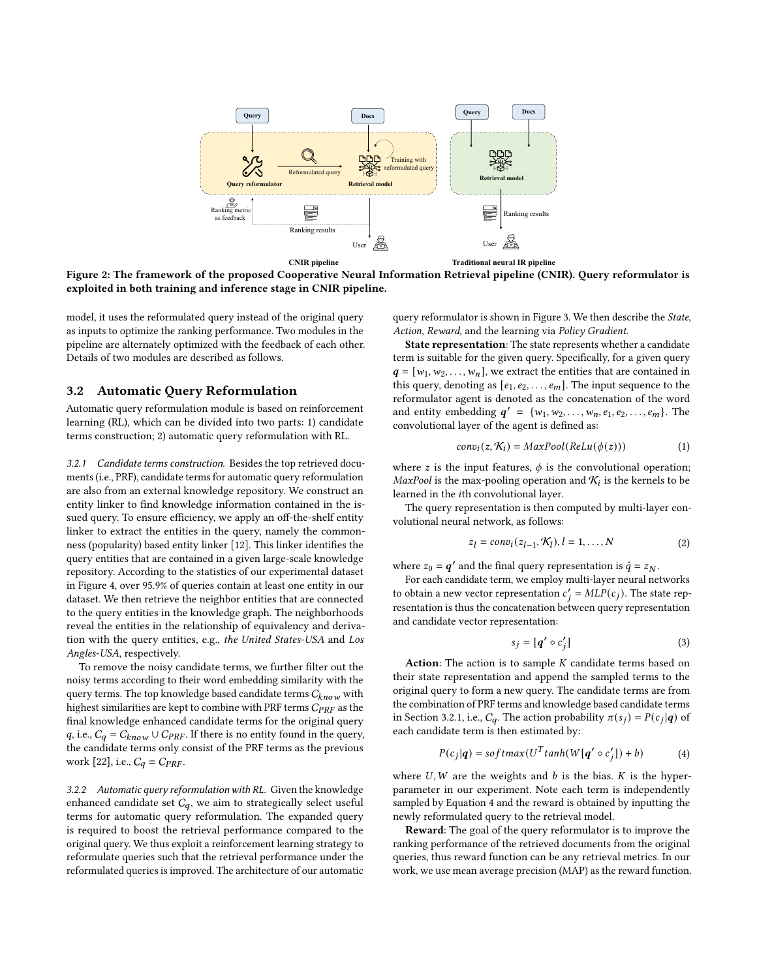<span id="page-2-0"></span>

**CNIR pipeline**

**Traditional neural IR pipeline**

Figure 2: The framework of the proposed Cooperative Neural Information Retrieval pipeline (CNIR). Query reformulator is exploited in both training and inference stage in CNIR pipeline.

model, it uses the reformulated query instead of the original query as inputs to optimize the ranking performance. Two modules in the pipeline are alternately optimized with the feedback of each other. Details of two modules are described as follows.

## 3.2 Automatic Query Reformulation

Automatic query reformulation module is based on reinforcement learning (RL), which can be divided into two parts: 1) candidate terms construction; 2) automatic query reformulation with RL.

<span id="page-2-1"></span>3.2.1 Candidate terms construction. Besides the top retrieved documents (i.e., PRF), candidate terms for automatic query reformulation are also from an external knowledge repository. We construct an entity linker to find knowledge information contained in the issued query. To ensure efficiency, we apply an off-the-shelf entity linker to extract the entities in the query, namely the commonness (popularity) based entity linker [\[12\]](#page-8-20). This linker identifies the query entities that are contained in a given large-scale knowledge repository. According to the statistics of our experimental dataset in Figure [4,](#page-4-0) over 95.9% of queries contain at least one entity in our dataset. We then retrieve the neighbor entities that are connected to the query entities in the knowledge graph. The neighborhoods reveal the entities in the relationship of equivalency and derivation with the query entities, e.g., the United States-USA and Los Angles-USA, respectively.

To remove the noisy candidate terms, we further filter out the noisy terms according to their word embedding similarity with the query terms. The top knowledge based candidate terms  $C_{know}$  with highest similarities are kept to combine with PRF terms  $C_{PRF}$  as the final knowledge enhanced candidate terms for the original query q, i.e.,  $C_q = C_{know} \cup C_{PRF}$ . If there is no entity found in the query, the candidate terms only consist of the PRF terms as the previous work [\[22\]](#page-8-3), i.e.,  $C_q = C_{PRF}$ .

<span id="page-2-3"></span>3.2.2 Automatic query reformulation with RL. Given the knowledge enhanced candidate set  $C_q$ , we aim to strategically select useful terms for automatic query reformulation. The expanded query is required to boost the retrieval performance compared to the original query. We thus exploit a reinforcement learning strategy to reformulate queries such that the retrieval performance under the reformulated queries is improved. The architecture of our automatic query reformulator is shown in Figure [3.](#page-3-0) We then describe the State, Action, Reward, and the learning via Policy Gradient.

State representation: The state represents whether a candidate term is suitable for the given query. Specifically, for a given query  $q = [w_1, w_2, \ldots, w_n]$ , we extract the entities that are contained in this query, denoting as  $[e_1, e_2, \ldots, e_m]$ . The input sequence to the reformulator agent is denoted as the concatenation of the word and entity embedding  $q' = \{w_1, w_2, ..., w_n, e_1, e_2, ..., e_m\}$ . The convolutional layer of the agent is defined as:

<span id="page-2-4"></span>
$$
conv_i(z, \mathcal{K}_i) = MaxPool(ReLU(\phi(z))) \tag{1}
$$

where z is the input features,  $\phi$  is the convolutional operation; MaxPool is the max-pooling operation and  $\mathcal{K}_i$  is the kernels to be learned in the *i*th convolutional layer.

The query representation is then computed by multi-layer convolutional neural network, as follows:

$$
z_l = conv_l(z_{l-1}, \mathcal{K}_l), l = 1, \dots, N
$$
 (2)

where  $z_0 = q'$  and the final query representation is  $\hat{q} = z_N$ .

For each candidate term, we employ multi-layer neural networks to obtain a new vector representation  $c'_{j} = MLP(c_{j})$ . The state representation is thus the concatenation between query representation and candidate vector representation:

$$
s_j = [q' \circ c'_j] \tag{3}
$$

Action: The action is to sample  $K$  candidate terms based on their state representation and append the sampled terms to the original query to form a new query. The candidate terms are from the combination of PRF terms and knowledge based candidate terms in Section [3.2.1,](#page-2-1) i.e.,  $C_q$ . The action probability  $\pi(s_j) = P(c_j | q)$  of each candidate term is then estimated by:

$$
P(c_j|q) = softmax(U^T \tanh(W[q' \circ c'_j]) + b)
$$
 (4)

<span id="page-2-2"></span>where  $U, W$  are the weights and  $b$  is the bias.  $K$  is the hyperparameter in our experiment. Note each term is independently sampled by Equation [4](#page-2-2) and the reward is obtained by inputting the newly reformulated query to the retrieval model.

Reward: The goal of the query reformulator is to improve the ranking performance of the retrieved documents from the original queries, thus reward function can be any retrieval metrics. In our work, we use mean average precision (MAP) as the reward function.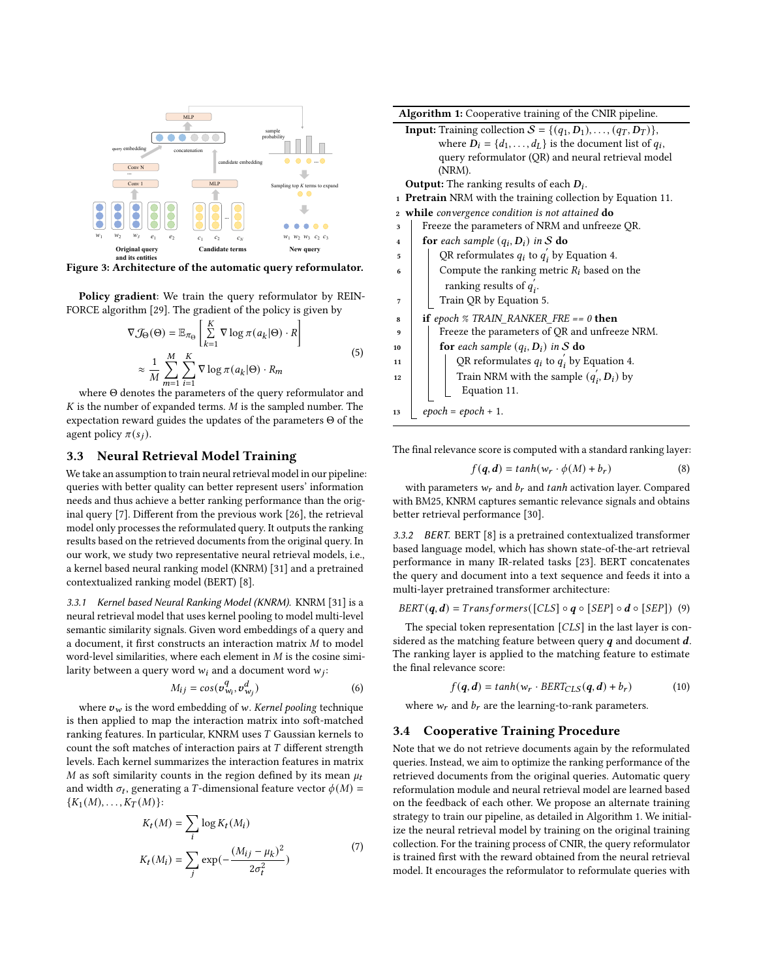<span id="page-3-0"></span>

Figure 3: Architecture of the automatic query reformulator.

Policy gradient: We train the query reformulator by REIN-FORCE algorithm [\[29\]](#page-8-21). The gradient of the policy is given by

$$
\nabla \mathcal{J}_{\Theta}(\Theta) = \mathbb{E}_{\pi_{\Theta}} \left[ \sum_{k=1}^{K} \nabla \log \pi(a_k | \Theta) \cdot R \right]
$$
  

$$
\approx \frac{1}{M} \sum_{m=1}^{M} \sum_{i=1}^{K} \nabla \log \pi(a_k | \Theta) \cdot R_m
$$
 (5)

<span id="page-3-1"></span>where Θ denotes the parameters of the query reformulator and  $K$  is the number of expanded terms.  $M$  is the sampled number. The expectation reward guides the updates of the parameters Θ of the agent policy  $\pi(s_i)$ .

## 3.3 Neural Retrieval Model Training

We take an assumption to train neural retrieval model in our pipeline: queries with better quality can better represent users' information needs and thus achieve a better ranking performance than the original query [\[7\]](#page-8-19). Different from the previous work [\[26\]](#page-8-22), the retrieval model only processes the reformulated query. It outputs the ranking results based on the retrieved documents from the original query. In our work, we study two representative neural retrieval models, i.e., a kernel based neural ranking model (KNRM) [\[31\]](#page-8-0) and a pretrained contextualized ranking model (BERT) [\[8\]](#page-8-6).

3.3.1 Kernel based Neural Ranking Model (KNRM). KNRM [\[31\]](#page-8-0) is a neural retrieval model that uses kernel pooling to model multi-level semantic similarity signals. Given word embeddings of a query and a document, it first constructs an interaction matrix  $M$  to model word-level similarities, where each element in  $M$  is the cosine similarity between a query word  $w_i$  and a document word  $w_j$ :

$$
M_{ij} = \cos(\sigma_{w_i}^q, \sigma_{w_j}^d) \tag{6}
$$

where  $v_w$  is the word embedding of w. Kernel pooling technique is then applied to map the interaction matrix into soft-matched ranking features. In particular, KNRM uses  $T$  Gaussian kernels to count the soft matches of interaction pairs at  $T$  different strength levels. Each kernel summarizes the interaction features in matrix M as soft similarity counts in the region defined by its mean  $\mu_t$ and width  $\sigma_t$ , generating a *T*-dimensional feature vector  $\phi(M)$  =  ${K_1(M), \ldots, K_T(M)}$ :

$$
K_t(M) = \sum_i \log K_t(M_i)
$$
  

$$
K_t(M_i) = \sum_j \exp(-\frac{(M_{ij} - \mu_k)^2}{2\sigma_t^2})
$$
 (7)

| <b>Algorithm 1:</b> Cooperative training of the CNIR pipeline.                   |  |  |  |  |  |  |
|----------------------------------------------------------------------------------|--|--|--|--|--|--|
| <b>Input:</b> Training collection $S = \{(q_1, D_1), \ldots, (q_T, D_T)\}\,$     |  |  |  |  |  |  |
| where $D_i = \{d_1, \ldots, d_L\}$ is the document list of $q_i$ ,               |  |  |  |  |  |  |
| query reformulator (QR) and neural retrieval model                               |  |  |  |  |  |  |
| (NRM).                                                                           |  |  |  |  |  |  |
| <b>Output:</b> The ranking results of each $D_i$ .                               |  |  |  |  |  |  |
| <b>Pretrain</b> NRM with the training collection by Equation 11.<br>$\mathbf{1}$ |  |  |  |  |  |  |
| 2 while convergence condition is not attained do                                 |  |  |  |  |  |  |
| Freeze the parameters of NRM and unfreeze QR.<br>3                               |  |  |  |  |  |  |
| <b>for</b> each sample $(q_i, D_i)$ in S <b>do</b><br>4                          |  |  |  |  |  |  |
| QR reformulates $q_i$ to $q'_i$ by Equation 4.<br>5                              |  |  |  |  |  |  |
| Compute the ranking metric $R_i$ based on the<br>6                               |  |  |  |  |  |  |
| ranking results of $q_i$ .                                                       |  |  |  |  |  |  |
| Train QR by Equation 5.<br>7                                                     |  |  |  |  |  |  |
| if epoch $\%$ TRAIN_RANKER_FRE == 0 then<br>8                                    |  |  |  |  |  |  |
| Freeze the parameters of QR and unfreeze NRM.<br>9                               |  |  |  |  |  |  |
| for each sample $(q_i, D_i)$ in S do<br>10                                       |  |  |  |  |  |  |
| QR reformulates $q_i$ to $q'_i$ by Equation 4.<br>11                             |  |  |  |  |  |  |
| Train NRM with the sample $(q'_i, D_i)$ by<br>12                                 |  |  |  |  |  |  |
| Equation 11.                                                                     |  |  |  |  |  |  |
| $epoch = epoch + 1.$<br>13                                                       |  |  |  |  |  |  |
|                                                                                  |  |  |  |  |  |  |

<span id="page-3-2"></span>The final relevance score is computed with a standard ranking layer:

$$
f(\boldsymbol{q}, \boldsymbol{d}) = \tanh(w_r \cdot \phi(M) + b_r) \tag{8}
$$

with parameters  $w_r$  and  $b_r$  and tanh activation layer. Compared with BM25, KNRM captures semantic relevance signals and obtains better retrieval performance [\[30\]](#page-8-23).

3.3.2 BERT. BERT [\[8\]](#page-8-6) is a pretrained contextualized transformer based language model, which has shown state-of-the-art retrieval performance in many IR-related tasks [\[23\]](#page-8-24). BERT concatenates the query and document into a text sequence and feeds it into a multi-layer pretrained transformer architecture:

$$
BERT(q, d) = Transforms([CLS] \circ q \circ [SEP] \circ d \circ [SEP]) \quad (9)
$$

The special token representation  $[CLS]$  in the last layer is considered as the matching feature between query  $q$  and document  $d$ . The ranking layer is applied to the matching feature to estimate the final relevance score:

$$
f(\mathbf{q}, \mathbf{d}) = \tanh(w_r \cdot \text{BERT}_{CLS}(\mathbf{q}, \mathbf{d}) + b_r)
$$
 (10)

where  $w_r$  and  $b_r$  are the learning-to-rank parameters.

## 3.4 Cooperative Training Procedure

Note that we do not retrieve documents again by the reformulated queries. Instead, we aim to optimize the ranking performance of the retrieved documents from the original queries. Automatic query reformulation module and neural retrieval model are learned based on the feedback of each other. We propose an alternate training strategy to train our pipeline, as detailed in Algorithm [1.](#page-3-2) We initialize the neural retrieval model by training on the original training collection. For the training process of CNIR, the query reformulator is trained first with the reward obtained from the neural retrieval model. It encourages the reformulator to reformulate queries with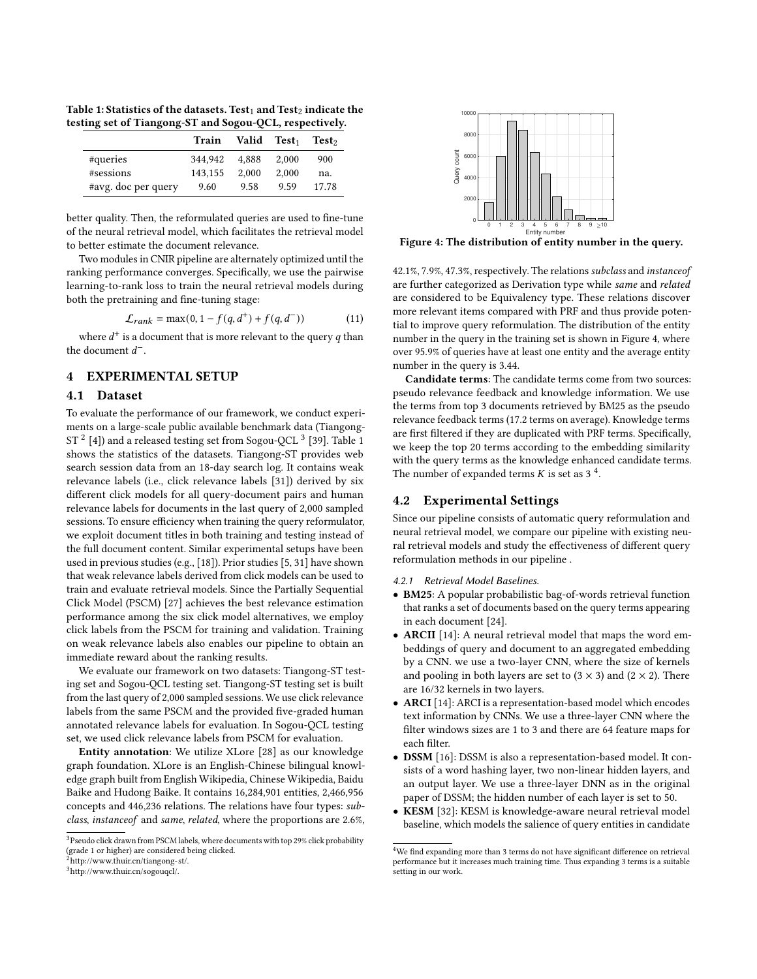<span id="page-4-4"></span>Table 1: Statistics of the datasets. Test<sub>1</sub> and Test<sub>2</sub> indicate the testing set of Tiangong-ST and Sogou-QCL, respectively.

|                     | <b>Train</b> | Valid Test <sub>1</sub> |       | Test <sub>2</sub> |
|---------------------|--------------|-------------------------|-------|-------------------|
| #queries            | 344.942      | 4.888                   | 2.000 | 900               |
| #sessions           | 143.155      | 2.000                   | 2.000 | na.               |
| #avg. doc per query | 9.60         | 9.58                    | 9.59  | 17.78             |

better quality. Then, the reformulated queries are used to fine-tune of the neural retrieval model, which facilitates the retrieval model to better estimate the document relevance.

Two modules in CNIR pipeline are alternately optimized until the ranking performance converges. Specifically, we use the pairwise learning-to-rank loss to train the neural retrieval models during both the pretraining and fine-tuning stage:

<span id="page-4-1"></span>
$$
\mathcal{L}_{rank} = \max(0, 1 - f(q, d^{+}) + f(q, d^{-}))
$$
 (11)

where  $d^+$  is a document that is more relevant to the query  $q$  than the document  $d^-$ .

# 4 EXPERIMENTAL SETUP

#### 4.1 Dataset

To evaluate the performance of our framework, we conduct experiments on a large-scale public available benchmark data (Tiangong-ST  $^2$  $^2$  [\[4\]](#page-8-7)) and a released testing set from Sogou-QCL  $^3$  $^3$  [\[39\]](#page-8-8). Table [1](#page-4-4) shows the statistics of the datasets. Tiangong-ST provides web search session data from an 18-day search log. It contains weak relevance labels (i.e., click relevance labels [\[31\]](#page-8-0)) derived by six different click models for all query-document pairs and human relevance labels for documents in the last query of 2,000 sampled sessions. To ensure efficiency when training the query reformulator, we exploit document titles in both training and testing instead of the full document content. Similar experimental setups have been used in previous studies (e.g., [\[18\]](#page-8-25)). Prior studies [\[5,](#page-8-26) [31\]](#page-8-0) have shown that weak relevance labels derived from click models can be used to train and evaluate retrieval models. Since the Partially Sequential Click Model (PSCM) [\[27\]](#page-8-27) achieves the best relevance estimation performance among the six click model alternatives, we employ click labels from the PSCM for training and validation. Training on weak relevance labels also enables our pipeline to obtain an immediate reward about the ranking results.

We evaluate our framework on two datasets: Tiangong-ST testing set and Sogou-QCL testing set. Tiangong-ST testing set is built from the last query of 2,000 sampled sessions. We use click relevance labels from the same PSCM and the provided five-graded human annotated relevance labels for evaluation. In Sogou-QCL testing set, we used click relevance labels from PSCM for evaluation.

Entity annotation: We utilize XLore [\[28\]](#page-8-28) as our knowledge graph foundation. XLore is an English-Chinese bilingual knowledge graph built from English Wikipedia, Chinese Wikipedia, Baidu Baike and Hudong Baike. It contains 16,284,901 entities, 2,466,956 concepts and 446,236 relations. The relations have four types: subclass, instanceof and same, related, where the proportions are 2.6%,

<span id="page-4-0"></span>

Figure 4: The distribution of entity number in the query.

42.1%, 7.9%, 47.3%, respectively. The relations subclass and instanceof are further categorized as Derivation type while same and related are considered to be Equivalency type. These relations discover more relevant items compared with PRF and thus provide potential to improve query reformulation. The distribution of the entity number in the query in the training set is shown in Figure [4,](#page-4-0) where over 95.9% of queries have at least one entity and the average entity number in the query is 3.44.

Candidate terms: The candidate terms come from two sources: pseudo relevance feedback and knowledge information. We use the terms from top 3 documents retrieved by BM25 as the pseudo relevance feedback terms (17.2 terms on average). Knowledge terms are first filtered if they are duplicated with PRF terms. Specifically, we keep the top 20 terms according to the embedding similarity with the query terms as the knowledge enhanced candidate terms. The number of expanded terms  $K$  is set as 3<sup>[4](#page-4-5)</sup>.

## 4.2 Experimental Settings

Since our pipeline consists of automatic query reformulation and neural retrieval model, we compare our pipeline with existing neural retrieval models and study the effectiveness of different query reformulation methods in our pipeline .

4.2.1 Retrieval Model Baselines.

- BM25: A popular probabilistic bag-of-words retrieval function that ranks a set of documents based on the query terms appearing in each document [\[24\]](#page-8-29).
- ARCII [\[14\]](#page-8-30): A neural retrieval model that maps the word embeddings of query and document to an aggregated embedding by a CNN. we use a two-layer CNN, where the size of kernels and pooling in both layers are set to  $(3 \times 3)$  and  $(2 \times 2)$ . There are 16/32 kernels in two layers.
- ARCI [\[14\]](#page-8-30): ARCI is a representation-based model which encodes text information by CNNs. We use a three-layer CNN where the filter windows sizes are 1 to 3 and there are 64 feature maps for each filter.
- DSSM [\[16\]](#page-8-31): DSSM is also a representation-based model. It consists of a word hashing layer, two non-linear hidden layers, and an output layer. We use a three-layer DNN as in the original paper of DSSM; the hidden number of each layer is set to 50.
- KESM [\[32\]](#page-8-32): KESM is knowledge-aware neural retrieval model baseline, which models the salience of query entities in candidate

 $^3\!$  Pseudo click drawn from PSCM labels, where documents with top 29% click probability (grade 1 or higher) are considered being clicked. <sup>2</sup>[http://www.thuir.cn/tiangong-st/.](http://www.thuir.cn/tiangong-st/)

<span id="page-4-2"></span>

<span id="page-4-3"></span><sup>3</sup>[http://www.thuir.cn/sogouqcl/.](http://www.thuir.cn/sogouqcl/)

<span id="page-4-5"></span><sup>&</sup>lt;sup>4</sup>We find expanding more than 3 terms do not have significant difference on retrieval performance but it increases much training time. Thus expanding 3 terms is a suitable setting in our work.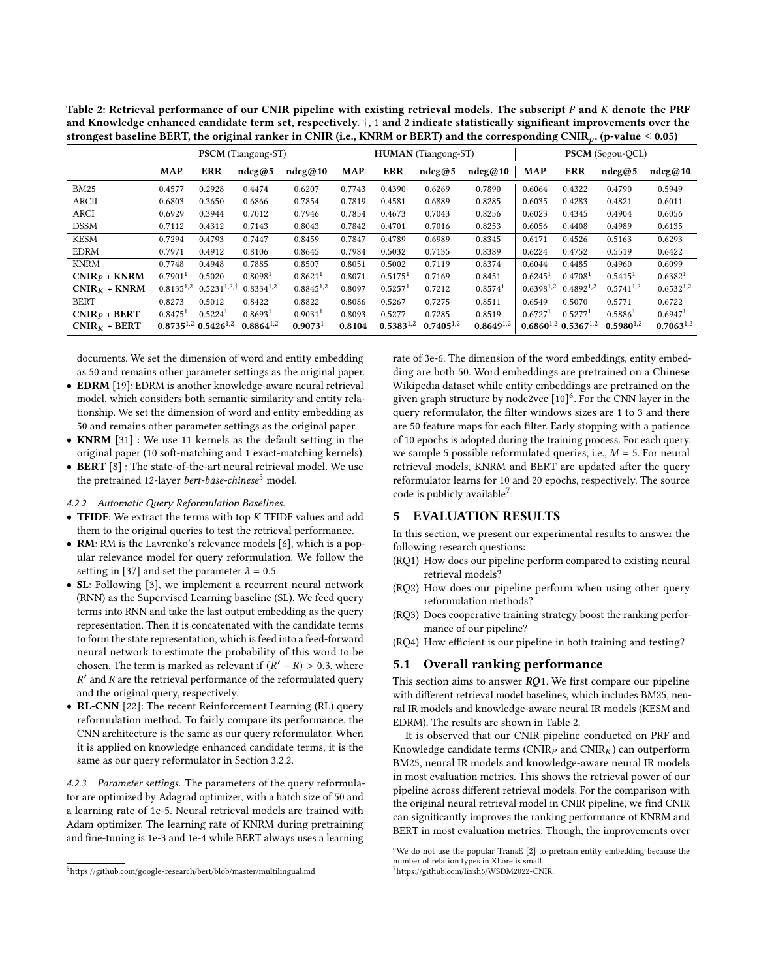<span id="page-5-3"></span>Table 2: Retrieval performance of our CNIR pipeline with existing retrieval models. The subscript  $P$  and  $K$  denote the PRF and Knowledge enhanced candidate term set, respectively. †, 1 and 2 indicate statistically significant improvements over the strongest baseline BERT, the original ranker in CNIR (i.e., KNRM or BERT) and the corresponding CNIR<sub>p</sub>. (p-value  $\leq 0.05$ )

|                |                       |                               | <b>PSCM</b> (Tiangong-ST) |                       |            |                       | <b>HUMAN</b> (Tiangong-ST) |                |                       |                                      | <b>PSCM</b> (Sogou-QCL) |                     |
|----------------|-----------------------|-------------------------------|---------------------------|-----------------------|------------|-----------------------|----------------------------|----------------|-----------------------|--------------------------------------|-------------------------|---------------------|
|                | <b>MAP</b>            | <b>ERR</b>                    | ndcg@5                    | ndeg@10               | <b>MAP</b> | <b>ERR</b>            | ndeg@5                     | ndeg@10        | <b>MAP</b>            | <b>ERR</b>                           | ndcg@5                  | ndeg@10             |
| <b>BM25</b>    | 0.4577                | 0.2928                        | 0.4474                    | 0.6207                | 0.7743     | 0.4390                | 0.6269                     | 0.7890         | 0.6064                | 0.4322                               | 0.4790                  | 0.5949              |
| ARCII          | 0.6803                | 0.3650                        | 0.6866                    | 0.7854                | 0.7819     | 0.4581                | 0.6889                     | 0.8285         | 0.6035                | 0.4283                               | 0.4821                  | 0.6011              |
| <b>ARCI</b>    | 0.6929                | 0.3944                        | 0.7012                    | 0.7946                | 0.7854     | 0.4673                | 0.7043                     | 0.8256         | 0.6023                | 0.4345                               | 0.4904                  | 0.6056              |
| <b>DSSM</b>    | 0.7112                | 0.4312                        | 0.7143                    | 0.8043                | 0.7842     | 0.4701                | 0.7016                     | 0.8253         | 0.6056                | 0.4408                               | 0.4989                  | 0.6135              |
| <b>KESM</b>    | 0.7294                | 0.4793                        | 0.7447                    | 0.8459                | 0.7847     | 0.4789                | 0.6989                     | 0.8345         | 0.6171                | 0.4526                               | 0.5163                  | 0.6293              |
| <b>EDRM</b>    | 0.7971                | 0.4912                        | 0.8106                    | 0.8645                | 0.7984     | 0.5032                | 0.7135                     | 0.8389         | 0.6224                | 0.4752                               | 0.5519                  | 0.6422              |
| <b>KNRM</b>    | 0.7748                | 0.4948                        | 0.7885                    | 0.8507                | 0.8051     | 0.5002                | 0.7119                     | 0.8374         | 0.6044                | 0.4485                               | 0.4960                  | 0.6099              |
| $CNIRP + KNRM$ | $0.7901$ <sup>1</sup> | 0.5020                        | 0.8098 <sup>1</sup>       | $0.8621$ <sup>1</sup> | 0.8071     | 0.5175 <sup>1</sup>   | 0.7169                     | 0.8451         | 0.6245 <sup>1</sup>   | 0.4708 <sup>1</sup>                  | 0.5415 <sup>1</sup>     | 0.6382 <sup>1</sup> |
| $CNIRK + KNRM$ | $0.8135^{1,2}$        | $0.5231^{1,2,\dagger}$        | $0.8334^{1,2}$            | $0.8845^{1,2}$        | 0.8097     | $0.5257$ <sup>1</sup> | 0.7212                     | 0.8574         | $0.6398^{1,2}$        | $0.4892^{1,2}$                       | $0.5741^{1,2}$          | $0.6532^{1,2}$      |
| <b>BERT</b>    | 0.8273                | 0.5012                        | 0.8422                    | 0.8822                | 0.8086     | 0.5267                | 0.7275                     | 0.8511         | 0.6549                | 0.5070                               | 0.5771                  | 0.6722              |
| $CNIRP + BERT$ | $0.8475$ <sup>1</sup> | $0.5224$ <sup>1</sup>         | 0.8693 <sup>1</sup>       | $0.9031$ <sup>1</sup> | 0.8093     | 0.5277                | 0.7285                     | 0.8519         | $0.6727$ <sup>1</sup> | $0.5277$ <sup>1</sup>                | 0.5886 <sup>1</sup>     | 0.6947 <sup>1</sup> |
| $CNIRK + BERT$ |                       | $0.8735^{1,2}$ $0.5426^{1,2}$ | $0.8864^{1,2}$            | 0.9073 <sup>1</sup>   | 0.8104     | $0.5383^{1,2}$        | $0.7405^{1,2}$             | $0.8649^{1,2}$ |                       | $0.6860^{1,2}$ 0.5367 <sup>1,2</sup> | $0.5980^{1,2}$          | $0.7063^{1,2}$      |

documents. We set the dimension of word and entity embedding as 50 and remains other parameter settings as the original paper.

- EDRM [\[19\]](#page-8-33): EDRM is another knowledge-aware neural retrieval model, which considers both semantic similarity and entity relationship. We set the dimension of word and entity embedding as 50 and remains other parameter settings as the original paper.
- KNRM [\[31\]](#page-8-0) : We use 11 kernels as the default setting in the original paper (10 soft-matching and 1 exact-matching kernels).
- BERT [\[8\]](#page-8-6) : The state-of-the-art neural retrieval model. We use the pretrained 12-layer *bert-base-chinese*<sup>[5](#page-5-0)</sup> model.

## 4.2.2 Automatic Query Reformulation Baselines.

- TFIDF: We extract the terms with top  $K$  TFIDF values and add them to the original queries to test the retrieval performance.
- RM: RM is the Lavrenko's relevance models [\[6\]](#page-8-4), which is a popular relevance model for query reformulation. We follow the setting in [\[37\]](#page-8-34) and set the parameter  $\lambda = 0.5$ .
- SL: Following [\[3\]](#page-8-16), we implement a recurrent neural network (RNN) as the Supervised Learning baseline (SL). We feed query terms into RNN and take the last output embedding as the query representation. Then it is concatenated with the candidate terms to form the state representation, which is feed into a feed-forward neural network to estimate the probability of this word to be chosen. The term is marked as relevant if  $(R' - R) > 0.3$ , where  $R'$  and  $R$  are the retrieval performance of the reformulated query and the original query, respectively.
- RL-CNN [\[22\]](#page-8-3): The recent Reinforcement Learning (RL) query reformulation method. To fairly compare its performance, the CNN architecture is the same as our query reformulator. When it is applied on knowledge enhanced candidate terms, it is the same as our query reformulator in Section [3.2.2.](#page-2-3)

4.2.3 Parameter settings. The parameters of the query reformulator are optimized by Adagrad optimizer, with a batch size of 50 and a learning rate of 1e-5. Neural retrieval models are trained with Adam optimizer. The learning rate of KNRM during pretraining and fine-tuning is 1e-3 and 1e-4 while BERT always uses a learning

rate of 3e-6. The dimension of the word embeddings, entity embedding are both 50. Word embeddings are pretrained on a Chinese Wikipedia dataset while entity embeddings are pretrained on the given graph structure by node2vec [\[10\]](#page-8-35)<sup>[6](#page-5-1)</sup>. For the CNN layer in the query reformulator, the filter windows sizes are 1 to 3 and there are 50 feature maps for each filter. Early stopping with a patience of 10 epochs is adopted during the training process. For each query, we sample 5 possible reformulated queries, i.e.,  $M = 5$ . For neural retrieval models, KNRM and BERT are updated after the query reformulator learns for 10 and 20 epochs, respectively. The source code is publicly available<sup>[7](#page-5-2)</sup>.

# 5 EVALUATION RESULTS

In this section, we present our experimental results to answer the following research questions:

- (RQ1) How does our pipeline perform compared to existing neural retrieval models?
- (RQ2) How does our pipeline perform when using other query reformulation methods?
- (RQ3) Does cooperative training strategy boost the ranking performance of our pipeline?
- (RQ4) How efficient is our pipeline in both training and testing?

# 5.1 Overall ranking performance

This section aims to answer  $RQ1$ . We first compare our pipeline with different retrieval model baselines, which includes BM25, neural IR models and knowledge-aware neural IR models (KESM and EDRM). The results are shown in Table [2.](#page-5-3)

It is observed that our CNIR pipeline conducted on PRF and Knowledge candidate terms (CNIR $_p$  and CNIR $_K$ ) can outperform BM25, neural IR models and knowledge-aware neural IR models in most evaluation metrics. This shows the retrieval power of our pipeline across different retrieval models. For the comparison with the original neural retrieval model in CNIR pipeline, we find CNIR can significantly improves the ranking performance of KNRM and BERT in most evaluation metrics. Though, the improvements over

<span id="page-5-0"></span><sup>5</sup><https://github.com/google-research/bert/blob/master/multilingual.md>

<span id="page-5-1"></span> $6$ We do not use the popular TransE [\[2\]](#page-8-36) to pretrain entity embedding because the number of relation types in XLore is small.

<span id="page-5-2"></span><sup>7</sup>[https://github.com/lixsh6/WSDM2022-CNIR.](https://github.com/lixsh6/WSDM2022-CNIR)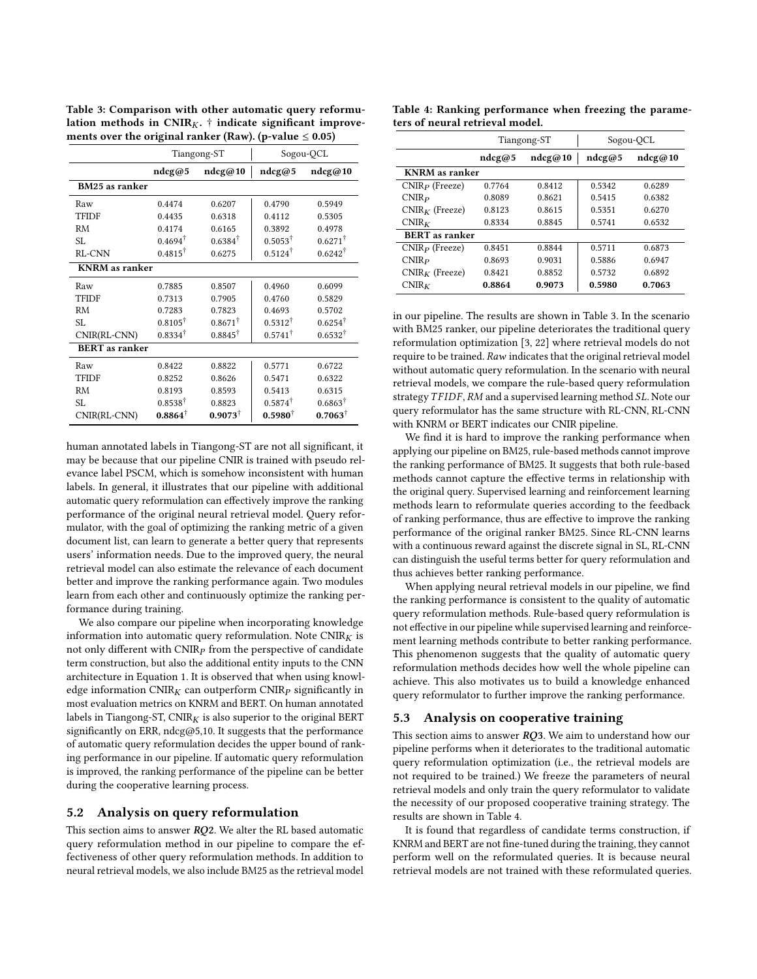<span id="page-6-0"></span>

| ments over the original ranker (Raw). (p-value $\leq 0.05$ )         |  |
|----------------------------------------------------------------------|--|
| lation methods in $CNIR_K$ , $\dagger$ indicate significant improve- |  |
| Table 3: Comparison with other automatic query reformu-              |  |

|                       |                    | Tiangong-ST        | Sogou-QCL          |                    |  |
|-----------------------|--------------------|--------------------|--------------------|--------------------|--|
|                       | ndcg@5             | ndeg@10            | ndeg@5             | ndeg@10            |  |
| BM25 as ranker        |                    |                    |                    |                    |  |
| Raw                   | 0.4474             | 0.6207             | 0.4790             | 0.5949             |  |
| <b>TFIDF</b>          | 0.4435             | 0.6318             | 0.4112             | 0.5305             |  |
| <b>RM</b>             | 0.4174             | 0.6165             | 0.3892             | 0.4978             |  |
| SL                    | $0.4694^{\dagger}$ | $0.6384^{\dagger}$ | $0.5053^{\dagger}$ | $0.6271^{\dagger}$ |  |
| <b>RL-CNN</b>         | $0.4815^{\dagger}$ | 0.6275             | $0.5124^{\dagger}$ | $0.6242^{\dagger}$ |  |
| <b>KNRM</b> as ranker |                    |                    |                    |                    |  |
| Raw                   | 0.7885             | 0.8507             | 0.4960             | 0.6099             |  |
| <b>TFIDF</b>          | 0.7313             | 0.7905             | 0.4760             | 0.5829             |  |
| <b>RM</b>             | 0.7283             | 0.7823             | 0.4693             | 0.5702             |  |
| SL                    | $0.8105^{\dagger}$ | $0.8671^{\dagger}$ | $0.5312^{\dagger}$ | $0.6254^{\dagger}$ |  |
| CNIR(RL-CNN)          | $0.8334^{\dagger}$ | $0.8845^{\dagger}$ | $0.5741^{\dagger}$ | $0.6532^{\dagger}$ |  |
| <b>BERT</b> as ranker |                    |                    |                    |                    |  |
| Raw                   | 0.8422             | 0.8822             | 0.5771             | 0.6722             |  |
| <b>TFIDF</b>          | 0.8252             | 0.8626             | 0.5471             | 0.6322             |  |
| RM                    | 0.8193             | 0.8593             | 0.5413             | 0.6315             |  |
| SL                    | $0.8538^{\dagger}$ | 0.8823             | $0.5874^{\dagger}$ | $0.6863^{\dagger}$ |  |
| CNIR(RL-CNN)          | $0.8864^{\dagger}$ | $0.9073^{\dagger}$ | $0.5980^{\dagger}$ | $0.7063^{\dagger}$ |  |

human annotated labels in Tiangong-ST are not all significant, it may be because that our pipeline CNIR is trained with pseudo relevance label PSCM, which is somehow inconsistent with human labels. In general, it illustrates that our pipeline with additional automatic query reformulation can effectively improve the ranking performance of the original neural retrieval model. Query reformulator, with the goal of optimizing the ranking metric of a given document list, can learn to generate a better query that represents users' information needs. Due to the improved query, the neural retrieval model can also estimate the relevance of each document better and improve the ranking performance again. Two modules learn from each other and continuously optimize the ranking performance during training.

We also compare our pipeline when incorporating knowledge information into automatic query reformulation. Note  $CNIR_K$  is not only different with  $CNIR<sub>P</sub>$  from the perspective of candidate term construction, but also the additional entity inputs to the CNN architecture in Equation [1.](#page-2-4) It is observed that when using knowledge information CNIR $_K$  can outperform CNIR $_P$  significantly in most evaluation metrics on KNRM and BERT. On human annotated labels in Tiangong-ST,  $\text{CNIR}_K$  is also superior to the original BERT significantly on ERR, ndcg@5,10. It suggests that the performance of automatic query reformulation decides the upper bound of ranking performance in our pipeline. If automatic query reformulation is improved, the ranking performance of the pipeline can be better during the cooperative learning process.

## 5.2 Analysis on query reformulation

This section aims to answer  $RQ2$ . We alter the RL based automatic query reformulation method in our pipeline to compare the effectiveness of other query reformulation methods. In addition to neural retrieval models, we also include BM25 as the retrieval model

<span id="page-6-1"></span>Table 4: Ranking performance when freezing the parameters of neural retrieval model.

|                       |        | Tiangong-ST | Sogou-QCL |         |  |  |  |
|-----------------------|--------|-------------|-----------|---------|--|--|--|
|                       | ndeg@5 | ndeg@10     | ndeg@5    | ndeg@10 |  |  |  |
| <b>KNRM</b> as ranker |        |             |           |         |  |  |  |
| $CNIRP$ (Freeze)      | 0.7764 | 0.8412      | 0.5342    | 0.6289  |  |  |  |
| CNIR <sub>P</sub>     | 0.8089 | 0.8621      | 0.5415    | 0.6382  |  |  |  |
| $CNIRK$ (Freeze)      | 0.8123 | 0.8615      | 0.5351    | 0.6270  |  |  |  |
| $CNIR_K$              | 0.8334 | 0.8845      | 0.5741    | 0.6532  |  |  |  |
| <b>BERT</b> as ranker |        |             |           |         |  |  |  |
| $CNIRP$ (Freeze)      | 0.8451 | 0.8844      | 0.5711    | 0.6873  |  |  |  |
| CNIR <sub>P</sub>     | 0.8693 | 0.9031      | 0.5886    | 0.6947  |  |  |  |
| $CNIRK$ (Freeze)      | 0.8421 | 0.8852      | 0.5732    | 0.6892  |  |  |  |
| CNIR <sub>K</sub>     | 0.8864 | 0.9073      | 0.5980    | 0.7063  |  |  |  |

in our pipeline. The results are shown in Table [3.](#page-6-0) In the scenario with BM25 ranker, our pipeline deteriorates the traditional query reformulation optimization [\[3,](#page-8-16) [22\]](#page-8-3) where retrieval models do not require to be trained. Raw indicates that the original retrieval model without automatic query reformulation. In the scenario with neural retrieval models, we compare the rule-based query reformulation strategy  $TFIDF$ ,  $RM$  and a supervised learning method  $SL$ . Note our query reformulator has the same structure with RL-CNN, RL-CNN with KNRM or BERT indicates our CNIR pipeline.

We find it is hard to improve the ranking performance when applying our pipeline on BM25, rule-based methods cannot improve the ranking performance of BM25. It suggests that both rule-based methods cannot capture the effective terms in relationship with the original query. Supervised learning and reinforcement learning methods learn to reformulate queries according to the feedback of ranking performance, thus are effective to improve the ranking performance of the original ranker BM25. Since RL-CNN learns with a continuous reward against the discrete signal in SL, RL-CNN can distinguish the useful terms better for query reformulation and thus achieves better ranking performance.

When applying neural retrieval models in our pipeline, we find the ranking performance is consistent to the quality of automatic query reformulation methods. Rule-based query reformulation is not effective in our pipeline while supervised learning and reinforcement learning methods contribute to better ranking performance. This phenomenon suggests that the quality of automatic query reformulation methods decides how well the whole pipeline can achieve. This also motivates us to build a knowledge enhanced query reformulator to further improve the ranking performance.

#### 5.3 Analysis on cooperative training

This section aims to answer  $RQ3$ . We aim to understand how our pipeline performs when it deteriorates to the traditional automatic query reformulation optimization (i.e., the retrieval models are not required to be trained.) We freeze the parameters of neural retrieval models and only train the query reformulator to validate the necessity of our proposed cooperative training strategy. The results are shown in Table [4.](#page-6-1)

It is found that regardless of candidate terms construction, if KNRM and BERT are not fine-tuned during the training, they cannot perform well on the reformulated queries. It is because neural retrieval models are not trained with these reformulated queries.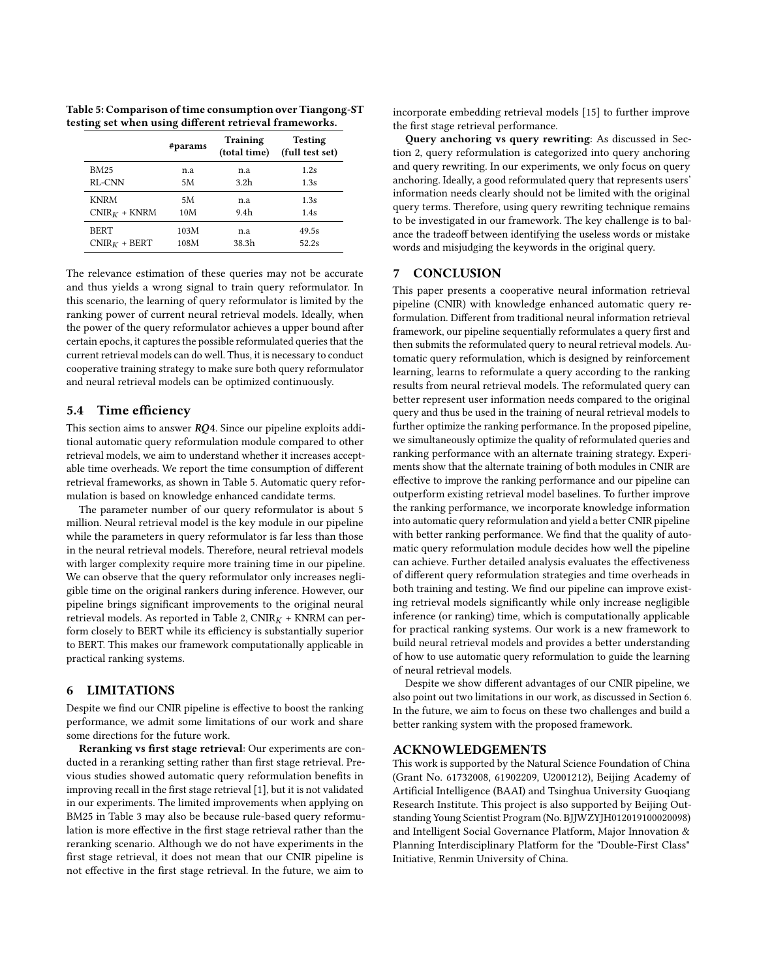<span id="page-7-0"></span>Table 5: Comparison of time consumption over Tiangong-ST testing set when using different retrieval frameworks.

|                | #params | <b>Training</b><br>(total time) | <b>Testing</b><br>(full test set) |
|----------------|---------|---------------------------------|-----------------------------------|
| <b>BM25</b>    | n.a     | n.a                             | 1.2s                              |
| RL-CNN         | 5M      | 3.2h                            | 1.3s                              |
| <b>KNRM</b>    | 5M      | n.a                             | 1.3s                              |
| $CNIRK + KNRM$ | 10M     | 9.4h                            | 1.4s                              |
| <b>BERT</b>    | 103M    | n.a                             | 49.5s                             |
| $CNIRK + BERT$ | 108M    | 38.3h                           | 52.2s                             |

The relevance estimation of these queries may not be accurate and thus yields a wrong signal to train query reformulator. In this scenario, the learning of query reformulator is limited by the ranking power of current neural retrieval models. Ideally, when the power of the query reformulator achieves a upper bound after certain epochs, it captures the possible reformulated queries that the current retrieval models can do well. Thus, it is necessary to conduct cooperative training strategy to make sure both query reformulator and neural retrieval models can be optimized continuously.

# 5.4 Time efficiency

This section aims to answer  $RQ4$ . Since our pipeline exploits additional automatic query reformulation module compared to other retrieval models, we aim to understand whether it increases acceptable time overheads. We report the time consumption of different retrieval frameworks, as shown in Table [5.](#page-7-0) Automatic query reformulation is based on knowledge enhanced candidate terms.

The parameter number of our query reformulator is about 5 million. Neural retrieval model is the key module in our pipeline while the parameters in query reformulator is far less than those in the neural retrieval models. Therefore, neural retrieval models with larger complexity require more training time in our pipeline. We can observe that the query reformulator only increases negligible time on the original rankers during inference. However, our pipeline brings significant improvements to the original neural retrieval models. As reported in Table [2,](#page-5-3)  $CNIR<sub>K</sub> + KNRM$  can perform closely to BERT while its efficiency is substantially superior to BERT. This makes our framework computationally applicable in practical ranking systems.

# <span id="page-7-1"></span>6 LIMITATIONS

Despite we find our CNIR pipeline is effective to boost the ranking performance, we admit some limitations of our work and share some directions for the future work.

Reranking vs first stage retrieval: Our experiments are conducted in a reranking setting rather than first stage retrieval. Previous studies showed automatic query reformulation benefits in improving recall in the first stage retrieval [\[1\]](#page-8-37), but it is not validated in our experiments. The limited improvements when applying on BM25 in Table [3](#page-6-0) may also be because rule-based query reformulation is more effective in the first stage retrieval rather than the reranking scenario. Although we do not have experiments in the first stage retrieval, it does not mean that our CNIR pipeline is not effective in the first stage retrieval. In the future, we aim to

incorporate embedding retrieval models [\[15\]](#page-8-38) to further improve the first stage retrieval performance.

Query anchoring vs query rewriting: As discussed in Section [2,](#page-1-1) query reformulation is categorized into query anchoring and query rewriting. In our experiments, we only focus on query anchoring. Ideally, a good reformulated query that represents users' information needs clearly should not be limited with the original query terms. Therefore, using query rewriting technique remains to be investigated in our framework. The key challenge is to balance the tradeoff between identifying the useless words or mistake words and misjudging the keywords in the original query.

# 7 CONCLUSION

This paper presents a cooperative neural information retrieval pipeline (CNIR) with knowledge enhanced automatic query reformulation. Different from traditional neural information retrieval framework, our pipeline sequentially reformulates a query first and then submits the reformulated query to neural retrieval models. Automatic query reformulation, which is designed by reinforcement learning, learns to reformulate a query according to the ranking results from neural retrieval models. The reformulated query can better represent user information needs compared to the original query and thus be used in the training of neural retrieval models to further optimize the ranking performance. In the proposed pipeline, we simultaneously optimize the quality of reformulated queries and ranking performance with an alternate training strategy. Experiments show that the alternate training of both modules in CNIR are effective to improve the ranking performance and our pipeline can outperform existing retrieval model baselines. To further improve the ranking performance, we incorporate knowledge information into automatic query reformulation and yield a better CNIR pipeline with better ranking performance. We find that the quality of automatic query reformulation module decides how well the pipeline can achieve. Further detailed analysis evaluates the effectiveness of different query reformulation strategies and time overheads in both training and testing. We find our pipeline can improve existing retrieval models significantly while only increase negligible inference (or ranking) time, which is computationally applicable for practical ranking systems. Our work is a new framework to build neural retrieval models and provides a better understanding of how to use automatic query reformulation to guide the learning of neural retrieval models.

Despite we show different advantages of our CNIR pipeline, we also point out two limitations in our work, as discussed in Section [6.](#page-7-1) In the future, we aim to focus on these two challenges and build a better ranking system with the proposed framework.

#### ACKNOWLEDGEMENTS

This work is supported by the Natural Science Foundation of China (Grant No. 61732008, 61902209, U2001212), Beijing Academy of Artificial Intelligence (BAAI) and Tsinghua University Guoqiang Research Institute. This project is also supported by Beijing Outstanding Young Scientist Program (No. BJJWZYJH012019100020098) and Intelligent Social Governance Platform, Major Innovation & Planning Interdisciplinary Platform for the "Double-First Class" Initiative, Renmin University of China.